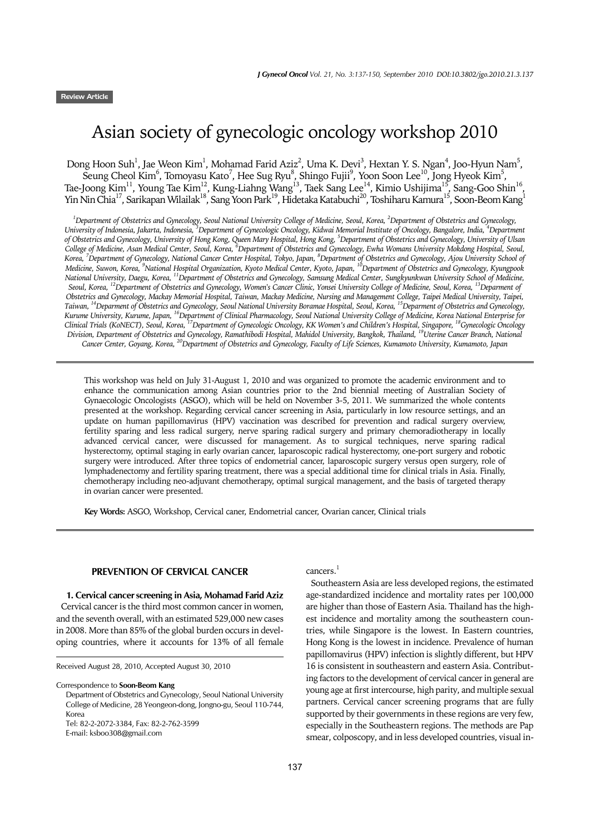# Asian society of gynecologic oncology workshop 2010

Dong Hoon Suh $^1$ , Jae Weon Kim $^1$ , Mohamad Farid Aziz $^2$ , Uma K. Devi $^3$ , Hextan Y. S. Ngan $^4$ , Joo-Hyun Nam $^5$ , Seung Cheol Kim<sup>6</sup>, Tomoyasu Kato<sup>7</sup>, Hee Sug Ryu<sup>8</sup>, Shingo Fujii<sup>9</sup>, Yoon Soon Lee<sup>10</sup>, Jong Hyeok Kim<sup>5</sup>, Tae-Joong Kim<sup>11</sup>, Young Tae Kim<sup>12</sup>, Kung-Liahng Wang<sup>13</sup>, Taek Sang Lee<sup>14</sup>, Kimio Ushijima<sup>15</sup>, Sang-Goo Shin<sup>16</sup>, Yin Nin Chia<sup>17</sup>, Sarikapan Wilailak<sup>18</sup>, Sang Yoon Park<sup>19</sup>, Hidetaka Katabuchi<sup>20</sup>, Toshiharu Kamura<sup>15</sup>, Soon-Beom Kang<sup>1</sup>

*1 Department of Obstetrics and Gynecology, Seoul National University College of Medicine, Seoul, Korea, 2 Department of Obstetrics and Gynecology, University of Indonesia, Jakarta, Indonesia, 3 Department of Gynecologic Oncology, Kidwai Memorial Institute of Oncology, Bangalore, India, 4 Department*  of Obstetrics and Gynecology, University of Hong Kong, Queen Mary Hospital, Hong Kong, <sup>5</sup>Department of Obstetrics and Gynecology, University of Ulsan<br>College of Medicine, Asan Medical Center, Seoul, Korea, <sup>6</sup>Department o Korea, <sup>7</sup>Department of Gynecology, National Cancer Center Hospital, Tokyo, Japan, <sup>8</sup>Department of Obstetrics and Gynecology, Ajou University School of<br>Medicine, Suwon, Korea, <sup>9</sup>National Hospital Organization, Kyoto Medi *National University, Daegu, Korea, 11Department of Obstetrics and Gynecology, Samsung Medical Center, Sungkyunkwan University School of Medicine, Seoul, Korea, 12Department of Obstetrics and Gynecology, Women's Cancer Clinic, Yonsei University College of Medicine, Seoul, Korea, 13Deparment of Obstetrics and Gynecology, Mackay Memorial Hospital, Taiwan, Mackay Medicine, Nursing and Management College, Taipei Medical University, Taipei, Taiwan, 14Deparment of Obstetrics and Gynecology, Seoul National University Boramae Hospital, Seoul, Korea, 15Deparment of Obstetrics and Gynecology, Kurume University, Kurume, Japan, 16Department of Clinical Pharmacology, Seoul National University College of Medicine, Korea National Enterprise for Clinical Trials (KoNECT), Seoul, Korea, 17Department of Gynecologic Oncology, KK Women's and Children's Hospital, Singapore, 18Gynecologic Oncology Division, Department of Obstetrics and Gynecology, Ramathibodi Hospital, Mahidol University, Bangkok, Thailand, 19Uterine Cancer Branch, National Cancer Center, Goyang, Korea, 20Department of Obstetrics and Gynecology, Faculty of Life Sciences, Kumamoto University, Kumamoto, Japan*

This workshop was held on July 31-August 1, 2010 and was organized to promote the academic environment and to enhance the communication among Asian countries prior to the 2nd biennial meeting of Australian Society of Gynaecologic Oncologists (ASGO), which will be held on November 3-5, 2011. We summarized the whole contents presented at the workshop. Regarding cervical cancer screening in Asia, particularly in low resource settings, and an update on human papillomavirus (HPV) vaccination was described for prevention and radical surgery overview, fertility sparing and less radical surgery, nerve sparing radical surgery and primary chemoradiotherapy in locally advanced cervical cancer, were discussed for management. As to surgical techniques, nerve sparing radical hysterectomy, optimal staging in early ovarian cancer, laparoscopic radical hysterectomy, one-port surgery and robotic surgery were introduced. After three topics of endometrial cancer, laparoscopic surgery versus open surgery, role of lymphadenectomy and fertility sparing treatment, there was a special additional time for clinical trials in Asia. Finally, chemotherapy including neo-adjuvant chemotherapy, optimal surgical management, and the basis of targeted therapy in ovarian cancer were presented.

**Key Words:** ASGO, Workshop, Cervical caner, Endometrial cancer, Ovarian cancer, Clinical trials

#### **PREVENTION OF CERVICAL CANCER**

**1. Cervical cancer screening in Asia, Mohamad Farid Aziz** Cervical cancer is the third most common cancer in women, and the seventh overall, with an estimated 529,000 new cases in 2008. More than 85% of the global burden occurs in developing countries, where it accounts for 13% of all female

Received August 28, 2010, Accepted August 30, 2010

Correspondence to **Soon-Beom Kang**

Department of Obstetrics and Gynecology, Seoul National University College of Medicine, 28 Yeongeon-dong, Jongno-gu, Seoul 110-744, Korea

Tel: 82-2-2072-3384, Fax: 82-2-762-3599

E-mail: ksboo308@gmail.com

cancers.<sup>1</sup>

Southeastern Asia are less developed regions, the estimated age-standardized incidence and mortality rates per 100,000 are higher than those of Eastern Asia. Thailand has the highest incidence and mortality among the southeastern countries, while Singapore is the lowest. In Eastern countries, Hong Kong is the lowest in incidence. Prevalence of human papillomavirus (HPV) infection is slightly different, but HPV 16 is consistent in southeastern and eastern Asia. Contributing factors to the development of cervical cancer in general are young age at first intercourse, high parity, and multiple sexual partners. Cervical cancer screening programs that are fully supported by their governments in these regions are very few, especially in the Southeastern regions. The methods are Pap smear, colposcopy, and in less developed countries, visual in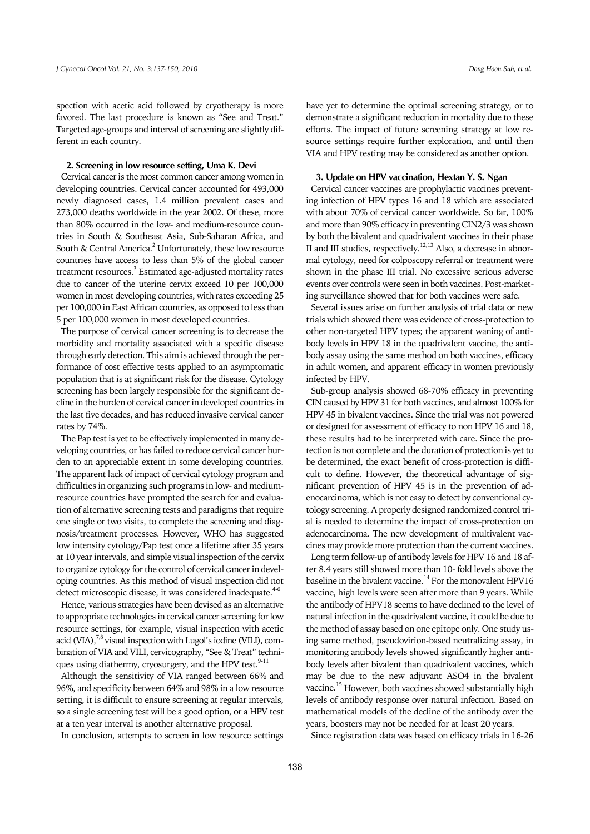spection with acetic acid followed by cryotherapy is more favored. The last procedure is known as "See and Treat." Targeted age-groups and interval of screening are slightly different in each country.

#### **2. Screening in low resource setting, Uma K. Devi**

Cervical cancer is the most common cancer among women in developing countries. Cervical cancer accounted for 493,000 newly diagnosed cases, 1.4 million prevalent cases and 273,000 deaths worldwide in the year 2002. Of these, more than 80% occurred in the low- and medium-resource countries in South & Southeast Asia, Sub-Saharan Africa, and South & Central America. $^2$  Unfortunately, these low resource countries have access to less than 5% of the global cancer treatment resources. $^3$  Estimated age-adjusted mortality rates due to cancer of the uterine cervix exceed 10 per 100,000 women in most developing countries, with rates exceeding 25 per 100,000 in East African countries, as opposed to less than 5 per 100,000 women in most developed countries.

The purpose of cervical cancer screening is to decrease the morbidity and mortality associated with a specific disease through early detection. This aim is achieved through the performance of cost effective tests applied to an asymptomatic population that is at significant risk for the disease. Cytology screening has been largely responsible for the significant decline in the burden of cervical cancer in developed countries in the last five decades, and has reduced invasive cervical cancer rates by 74%.

The Pap test is yet to be effectively implemented in many developing countries, or has failed to reduce cervical cancer burden to an appreciable extent in some developing countries. The apparent lack of impact of cervical cytology program and difficulties in organizing such programs in low- and mediumresource countries have prompted the search for and evaluation of alternative screening tests and paradigms that require one single or two visits, to complete the screening and diagnosis/treatment processes. However, WHO has suggested low intensity cytology/Pap test once a lifetime after 35 years at 10 year intervals, and simple visual inspection of the cervix to organize cytology for the control of cervical cancer in developing countries. As this method of visual inspection did not detect microscopic disease, it was considered inadequate.<sup>4-6</sup>

Hence, various strategies have been devised as an alternative to appropriate technologies in cervical cancer screening for low resource settings, for example, visual inspection with acetic acid (VIA), $^{7,8}$  visual inspection with Lugol's iodine (VILI), combination of VIA and VILI, cervicography, "See & Treat" techniques using diathermy, cryosurgery, and the HPV test.<sup>9-11</sup>

Although the sensitivity of VIA ranged between 66% and 96%, and specificity between 64% and 98% in a low resource setting, it is difficult to ensure screening at regular intervals, so a single screening test will be a good option, or a HPV test at a ten year interval is another alternative proposal.

In conclusion, attempts to screen in low resource settings

have yet to determine the optimal screening strategy, or to demonstrate a significant reduction in mortality due to these efforts. The impact of future screening strategy at low resource settings require further exploration, and until then VIA and HPV testing may be considered as another option.

#### **3. Update on HPV vaccination, Hextan Y. S. Ngan**

Cervical cancer vaccines are prophylactic vaccines preventing infection of HPV types 16 and 18 which are associated with about 70% of cervical cancer worldwide. So far, 100% and more than 90% efficacy in preventing CIN2/3 was shown by both the bivalent and quadrivalent vaccines in their phase II and III studies, respectively.12,13 Also, a decrease in abnormal cytology, need for colposcopy referral or treatment were shown in the phase III trial. No excessive serious adverse events over controls were seen in both vaccines. Post-marketing surveillance showed that for both vaccines were safe.

Several issues arise on further analysis of trial data or new trials which showed there was evidence of cross-protection to other non-targeted HPV types; the apparent waning of antibody levels in HPV 18 in the quadrivalent vaccine, the antibody assay using the same method on both vaccines, efficacy in adult women, and apparent efficacy in women previously infected by HPV.

Sub-group analysis showed 68-70% efficacy in preventing CIN caused by HPV 31 for both vaccines, and almost 100% for HPV 45 in bivalent vaccines. Since the trial was not powered or designed for assessment of efficacy to non HPV 16 and 18, these results had to be interpreted with care. Since the protection is not complete and the duration of protection is yet to be determined, the exact benefit of cross-protection is difficult to define. However, the theoretical advantage of significant prevention of HPV 45 is in the prevention of adenocarcinoma, which is not easy to detect by conventional cytology screening. A properly designed randomized control trial is needed to determine the impact of cross-protection on adenocarcinoma. The new development of multivalent vaccines may provide more protection than the current vaccines.

Long term follow-up of antibody levels for HPV 16 and 18 after 8.4 years still showed more than 10- fold levels above the baseline in the bivalent vaccine.<sup>14</sup> For the monovalent HPV16 vaccine, high levels were seen after more than 9 years. While the antibody of HPV18 seems to have declined to the level of natural infection in the quadrivalent vaccine, it could be due to the method of assay based on one epitope only. One study using same method, pseudovirion-based neutralizing assay, in monitoring antibody levels showed significantly higher antibody levels after bivalent than quadrivalent vaccines, which may be due to the new adjuvant ASO4 in the bivalent vaccine.<sup>15</sup> However, both vaccines showed substantially high levels of antibody response over natural infection. Based on mathematical models of the decline of the antibody over the years, boosters may not be needed for at least 20 years.

Since registration data was based on efficacy trials in 16-26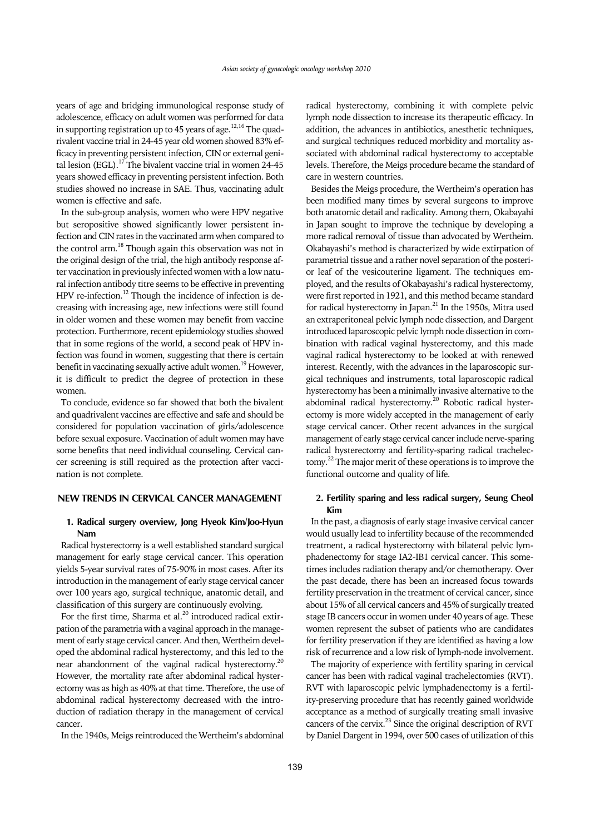years of age and bridging immunological response study of adolescence, efficacy on adult women was performed for data in supporting registration up to 45 years of age.<sup>12,16</sup> The quadrivalent vaccine trial in 24-45 year old women showed 83% efficacy in preventing persistent infection, CIN or external genital lesion (EGL).<sup>17</sup> The bivalent vaccine trial in women 24-45 years showed efficacy in preventing persistent infection. Both studies showed no increase in SAE. Thus, vaccinating adult women is effective and safe.

In the sub-group analysis, women who were HPV negative but seropositive showed significantly lower persistent infection and CIN rates in the vaccinated arm when compared to the control arm.18 Though again this observation was not in the original design of the trial, the high antibody response after vaccination in previously infected women with a low natural infection antibody titre seems to be effective in preventing HPV re-infection.<sup>12</sup> Though the incidence of infection is decreasing with increasing age, new infections were still found in older women and these women may benefit from vaccine protection. Furthermore, recent epidemiology studies showed that in some regions of the world, a second peak of HPV infection was found in women, suggesting that there is certain benefit in vaccinating sexually active adult women.<sup>19</sup> However, it is difficult to predict the degree of protection in these women.

To conclude, evidence so far showed that both the bivalent and quadrivalent vaccines are effective and safe and should be considered for population vaccination of girls/adolescence before sexual exposure. Vaccination of adult women may have some benefits that need individual counseling. Cervical cancer screening is still required as the protection after vaccination is not complete.

# **NEW TRENDS IN CERVICAL CANCER MANAGEMENT**

## **1. Radical surgery overview, Jong Hyeok Kim/Joo-Hyun Nam**

Radical hysterectomy is a well established standard surgical management for early stage cervical cancer. This operation yields 5-year survival rates of 75-90% in most cases. After its introduction in the management of early stage cervical cancer over 100 years ago, surgical technique, anatomic detail, and classification of this surgery are continuously evolving.

For the first time, Sharma et al.<sup>20</sup> introduced radical extirpation of the parametria with a vaginal approach in the management of early stage cervical cancer. And then, Wertheim developed the abdominal radical hysterectomy, and this led to the near abandonment of the vaginal radical hysterectomy.<sup>20</sup> However, the mortality rate after abdominal radical hysterectomy was as high as 40% at that time. Therefore, the use of abdominal radical hysterectomy decreased with the introduction of radiation therapy in the management of cervical cancer.

In the 1940s, Meigs reintroduced the Wertheim's abdominal

radical hysterectomy, combining it with complete pelvic lymph node dissection to increase its therapeutic efficacy. In addition, the advances in antibiotics, anesthetic techniques, and surgical techniques reduced morbidity and mortality associated with abdominal radical hysterectomy to acceptable levels. Therefore, the Meigs procedure became the standard of care in western countries.

Besides the Meigs procedure, the Wertheim's operation has been modified many times by several surgeons to improve both anatomic detail and radicality. Among them, Okabayahi in Japan sought to improve the technique by developing a more radical removal of tissue than advocated by Wertheim. Okabayashi's method is characterized by wide extirpation of parametrial tissue and a rather novel separation of the posterior leaf of the vesicouterine ligament. The techniques employed, and the results of Okabayashi's radical hysterectomy, were first reported in 1921, and this method became standard for radical hysterectomy in Japan. $^{21}$  In the 1950s, Mitra used an extraperitoneal pelvic lymph node dissection, and Dargent introduced laparoscopic pelvic lymph node dissection in combination with radical vaginal hysterectomy, and this made vaginal radical hysterectomy to be looked at with renewed interest. Recently, with the advances in the laparoscopic surgical techniques and instruments, total laparoscopic radical hysterectomy has been a minimally invasive alternative to the abdominal radical hysterectomy.20 Robotic radical hysterectomy is more widely accepted in the management of early stage cervical cancer. Other recent advances in the surgical management of early stage cervical cancer include nerve-sparing radical hysterectomy and fertility-sparing radical trachelectomy.<sup>22</sup> The major merit of these operations is to improve the functional outcome and quality of life.

## **2. Fertility sparing and less radical surgery, Seung Cheol Kim**

In the past, a diagnosis of early stage invasive cervical cancer would usually lead to infertility because of the recommended treatment, a radical hysterectomy with bilateral pelvic lymphadenectomy for stage IA2-IB1 cervical cancer. This sometimes includes radiation therapy and/or chemotherapy. Over the past decade, there has been an increased focus towards fertility preservation in the treatment of cervical cancer, since about 15% of all cervical cancers and 45% of surgically treated stage IB cancers occur in women under 40 years of age. These women represent the subset of patients who are candidates for fertility preservation if they are identified as having a low risk of recurrence and a low risk of lymph-node involvement.

The majority of experience with fertility sparing in cervical cancer has been with radical vaginal trachelectomies (RVT). RVT with laparoscopic pelvic lymphadenectomy is a fertility-preserving procedure that has recently gained worldwide acceptance as a method of surgically treating small invasive cancers of the cervix. $^{23}$  Since the original description of RVT by Daniel Dargent in 1994, over 500 cases of utilization of this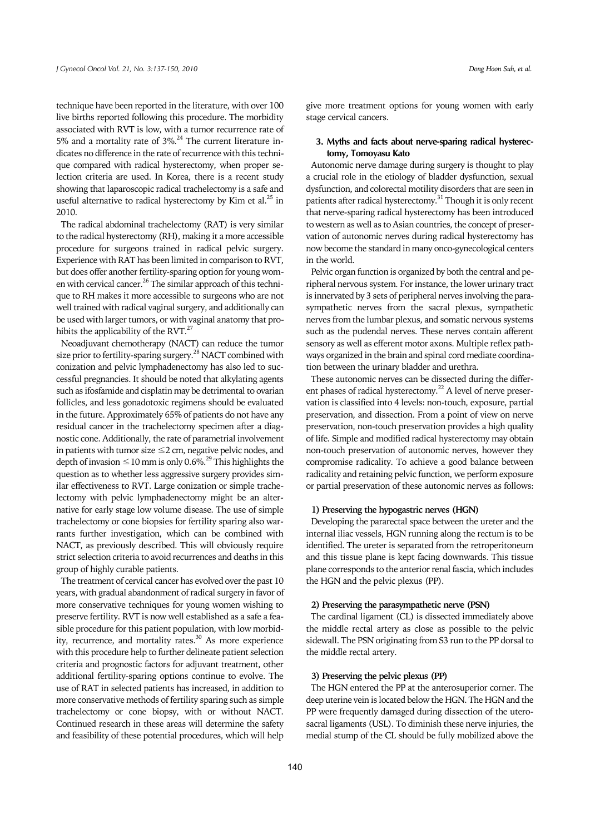technique have been reported in the literature, with over 100 live births reported following this procedure. The morbidity associated with RVT is low, with a tumor recurrence rate of 5% and a mortality rate of  $3\%$ .<sup>24</sup> The current literature indicates no difference in the rate of recurrence with this technique compared with radical hysterectomy, when proper selection criteria are used. In Korea, there is a recent study showing that laparoscopic radical trachelectomy is a safe and useful alternative to radical hysterectomy by Kim et al. $^{25}$  in 2010.

The radical abdominal trachelectomy (RAT) is very similar to the radical hysterectomy (RH), making it a more accessible procedure for surgeons trained in radical pelvic surgery. Experience with RAT has been limited in comparison to RVT, but does offer another fertility-sparing option for young women with cervical cancer.<sup>26</sup> The similar approach of this technique to RH makes it more accessible to surgeons who are not well trained with radical vaginal surgery, and additionally can be used with larger tumors, or with vaginal anatomy that prohibits the applicability of the  $RVT.^{27}$ 

Neoadjuvant chemotherapy (NACT) can reduce the tumor size prior to fertility-sparing surgery.<sup>28</sup> NACT combined with conization and pelvic lymphadenectomy has also led to successful pregnancies. It should be noted that alkylating agents such as ifosfamide and cisplatin may be detrimental to ovarian follicles, and less gonadotoxic regimens should be evaluated in the future. Approximately 65% of patients do not have any residual cancer in the trachelectomy specimen after a diagnostic cone. Additionally, the rate of parametrial involvement in patients with tumor size  $\leq$  2 cm, negative pelvic nodes, and depth of invasion  $\leq 10$  mm is only 0.6%.<sup>29</sup> This highlights the question as to whether less aggressive surgery provides similar effectiveness to RVT. Large conization or simple trachelectomy with pelvic lymphadenectomy might be an alternative for early stage low volume disease. The use of simple trachelectomy or cone biopsies for fertility sparing also warrants further investigation, which can be combined with NACT, as previously described. This will obviously require strict selection criteria to avoid recurrences and deaths in this group of highly curable patients.

The treatment of cervical cancer has evolved over the past 10 years, with gradual abandonment of radical surgery in favor of more conservative techniques for young women wishing to preserve fertility. RVT is now well established as a safe a feasible procedure for this patient population, with low morbidity, recurrence, and mortality rates.<sup>30</sup> As more experience with this procedure help to further delineate patient selection criteria and prognostic factors for adjuvant treatment, other additional fertility-sparing options continue to evolve. The use of RAT in selected patients has increased, in addition to more conservative methods of fertility sparing such as simple trachelectomy or cone biopsy, with or without NACT. Continued research in these areas will determine the safety and feasibility of these potential procedures, which will help

give more treatment options for young women with early stage cervical cancers.

## **3. Myths and facts about nerve-sparing radical hysterectomy, Tomoyasu Kato**

Autonomic nerve damage during surgery is thought to play a crucial role in the etiology of bladder dysfunction, sexual dysfunction, and colorectal motility disorders that are seen in patients after radical hysterectomy.<sup>31</sup> Though it is only recent that nerve-sparing radical hysterectomy has been introduced to western as well as to Asian countries, the concept of preservation of autonomic nerves during radical hysterectomy has now become the standard in many onco-gynecological centers in the world.

Pelvic organ function is organized by both the central and peripheral nervous system. For instance, the lower urinary tract is innervated by 3 sets of peripheral nerves involving the parasympathetic nerves from the sacral plexus, sympathetic nerves from the lumbar plexus, and somatic nervous systems such as the pudendal nerves. These nerves contain afferent sensory as well as efferent motor axons. Multiple reflex pathways organized in the brain and spinal cord mediate coordination between the urinary bladder and urethra.

These autonomic nerves can be dissected during the different phases of radical hysterectomy.<sup>22</sup> A level of nerve preservation is classified into 4 levels: non-touch, exposure, partial preservation, and dissection. From a point of view on nerve preservation, non-touch preservation provides a high quality of life. Simple and modified radical hysterectomy may obtain non-touch preservation of autonomic nerves, however they compromise radicality. To achieve a good balance between radicality and retaining pelvic function, we perform exposure or partial preservation of these autonomic nerves as follows:

#### **1) Preserving the hypogastric nerves (HGN)**

Developing the pararectal space between the ureter and the internal iliac vessels, HGN running along the rectum is to be identified. The ureter is separated from the retroperitoneum and this tissue plane is kept facing downwards. This tissue plane corresponds to the anterior renal fascia, which includes the HGN and the pelvic plexus (PP).

## **2) Preserving the parasympathetic nerve (PSN)**

The cardinal ligament (CL) is dissected immediately above the middle rectal artery as close as possible to the pelvic sidewall. The PSN originating from S3 run to the PP dorsal to the middle rectal artery.

# **3) Preserving the pelvic plexus (PP)**

The HGN entered the PP at the anterosuperior corner. The deep uterine vein is located below the HGN. The HGN and the PP were frequently damaged during dissection of the uterosacral ligaments (USL). To diminish these nerve injuries, the medial stump of the CL should be fully mobilized above the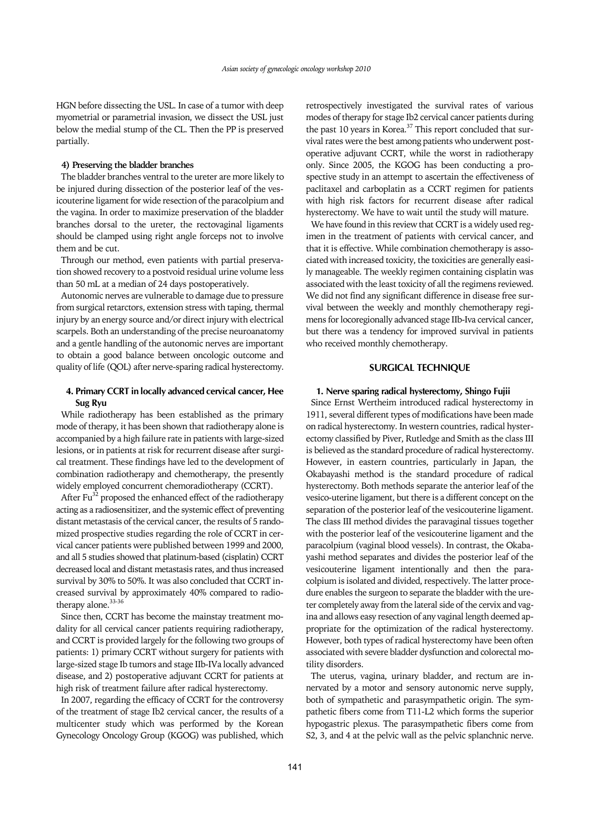HGN before dissecting the USL. In case of a tumor with deep myometrial or parametrial invasion, we dissect the USL just below the medial stump of the CL. Then the PP is preserved partially.

## **4) Preserving the bladder branches**

The bladder branches ventral to the ureter are more likely to be injured during dissection of the posterior leaf of the vesicouterine ligament for wide resection of the paracolpium and the vagina. In order to maximize preservation of the bladder branches dorsal to the ureter, the rectovaginal ligaments should be clamped using right angle forceps not to involve them and be cut.

Through our method, even patients with partial preservation showed recovery to a postvoid residual urine volume less than 50 mL at a median of 24 days postoperatively.

Autonomic nerves are vulnerable to damage due to pressure from surgical retarctors, extension stress with taping, thermal injury by an energy source and/or direct injury with electrical scarpels. Both an understanding of the precise neuroanatomy and a gentle handling of the autonomic nerves are important to obtain a good balance between oncologic outcome and quality of life (QOL) after nerve-sparing radical hysterectomy.

## **4. Primary CCRT in locally advanced cervical cancer, Hee Sug Ryu**

While radiotherapy has been established as the primary mode of therapy, it has been shown that radiotherapy alone is accompanied by a high failure rate in patients with large-sized lesions, or in patients at risk for recurrent disease after surgical treatment. These findings have led to the development of combination radiotherapy and chemotherapy, the presently widely employed concurrent chemoradiotherapy (CCRT).

After Fu $^{32}$  proposed the enhanced effect of the radiotherapy acting as a radiosensitizer, and the systemic effect of preventing distant metastasis of the cervical cancer, the results of 5 randomized prospective studies regarding the role of CCRT in cervical cancer patients were published between 1999 and 2000, and all 5 studies showed that platinum-based (cisplatin) CCRT decreased local and distant metastasis rates, and thus increased survival by 30% to 50%. It was also concluded that CCRT increased survival by approximately 40% compared to radiotherapy alone.<sup>33-36</sup>

Since then, CCRT has become the mainstay treatment modality for all cervical cancer patients requiring radiotherapy, and CCRT is provided largely for the following two groups of patients: 1) primary CCRT without surgery for patients with large-sized stage Ib tumors and stage IIb-IVa locally advanced disease, and 2) postoperative adjuvant CCRT for patients at high risk of treatment failure after radical hysterectomy.

In 2007, regarding the efficacy of CCRT for the controversy of the treatment of stage Ib2 cervical cancer, the results of a multicenter study which was performed by the Korean Gynecology Oncology Group (KGOG) was published, which

retrospectively investigated the survival rates of various modes of therapy for stage Ib2 cervical cancer patients during the past 10 years in Korea. $37$  This report concluded that survival rates were the best among patients who underwent postoperative adjuvant CCRT, while the worst in radiotherapy only. Since 2005, the KGOG has been conducting a prospective study in an attempt to ascertain the effectiveness of paclitaxel and carboplatin as a CCRT regimen for patients with high risk factors for recurrent disease after radical hysterectomy. We have to wait until the study will mature.

We have found in this review that CCRT is a widely used regimen in the treatment of patients with cervical cancer, and that it is effective. While combination chemotherapy is associated with increased toxicity, the toxicities are generally easily manageable. The weekly regimen containing cisplatin was associated with the least toxicity of all the regimens reviewed. We did not find any significant difference in disease free survival between the weekly and monthly chemotherapy regimens for locoregionally advanced stage IIb-Iva cervical cancer, but there was a tendency for improved survival in patients who received monthly chemotherapy.

# **SURGICAL TECHNIQUE**

## **1. Nerve sparing radical hysterectomy, Shingo Fujii**

Since Ernst Wertheim introduced radical hysterectomy in 1911, several different types of modifications have been made on radical hysterectomy. In western countries, radical hysterectomy classified by Piver, Rutledge and Smith as the class III is believed as the standard procedure of radical hysterectomy. However, in eastern countries, particularly in Japan, the Okabayashi method is the standard procedure of radical hysterectomy. Both methods separate the anterior leaf of the vesico-uterine ligament, but there is a different concept on the separation of the posterior leaf of the vesicouterine ligament. The class III method divides the paravaginal tissues together with the posterior leaf of the vesicouterine ligament and the paracolpium (vaginal blood vessels). In contrast, the Okabayashi method separates and divides the posterior leaf of the vesicouterine ligament intentionally and then the paracolpium is isolated and divided, respectively. The latter procedure enables the surgeon to separate the bladder with the ureter completely away from the lateral side of the cervix and vagina and allows easy resection of any vaginal length deemed appropriate for the optimization of the radical hysterectomy. However, both types of radical hysterectomy have been often associated with severe bladder dysfunction and colorectal motility disorders.

The uterus, vagina, urinary bladder, and rectum are innervated by a motor and sensory autonomic nerve supply, both of sympathetic and parasympathetic origin. The sympathetic fibers come from T11-L2 which forms the superior hypogastric plexus. The parasympathetic fibers come from S2, 3, and 4 at the pelvic wall as the pelvic splanchnic nerve.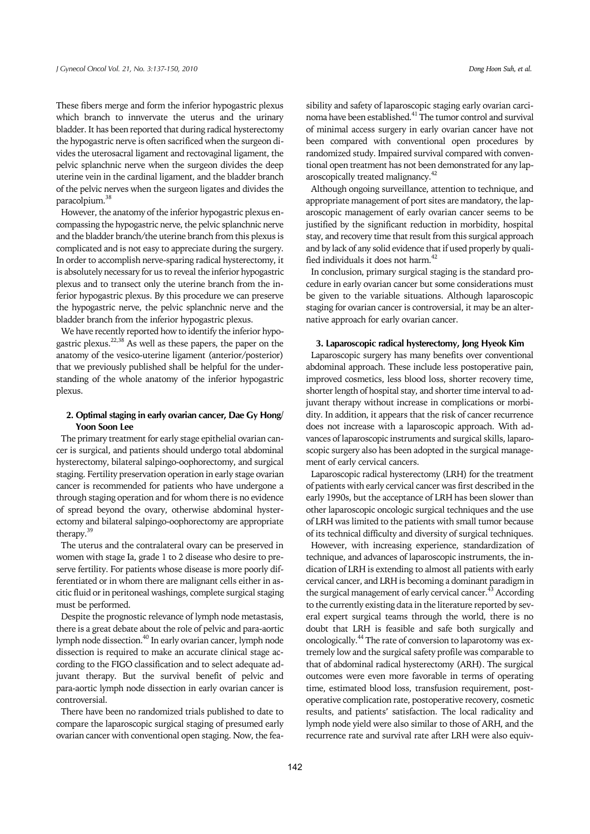These fibers merge and form the inferior hypogastric plexus which branch to innvervate the uterus and the urinary bladder. It has been reported that during radical hysterectomy the hypogastric nerve is often sacrificed when the surgeon divides the uterosacral ligament and rectovaginal ligament, the pelvic splanchnic nerve when the surgeon divides the deep uterine vein in the cardinal ligament, and the bladder branch of the pelvic nerves when the surgeon ligates and divides the paracolpium.<sup>38</sup>

However, the anatomy of the inferior hypogastric plexus encompassing the hypogastric nerve, the pelvic splanchnic nerve and the bladder branch/the uterine branch from this plexus is complicated and is not easy to appreciate during the surgery. In order to accomplish nerve-sparing radical hysterectomy, it is absolutely necessary for us to reveal the inferior hypogastric plexus and to transect only the uterine branch from the inferior hypogastric plexus. By this procedure we can preserve the hypogastric nerve, the pelvic splanchnic nerve and the bladder branch from the inferior hypogastric plexus.

We have recently reported how to identify the inferior hypogastric plexus.<sup>22,38</sup> As well as these papers, the paper on the anatomy of the vesico-uterine ligament (anterior/posterior) that we previously published shall be helpful for the understanding of the whole anatomy of the inferior hypogastric plexus.

# **2. Optimal staging in early ovarian cancer, Dae Gy Hong/ Yoon Soon Lee**

The primary treatment for early stage epithelial ovarian cancer is surgical, and patients should undergo total abdominal hysterectomy, bilateral salpingo-oophorectomy, and surgical staging. Fertility preservation operation in early stage ovarian cancer is recommended for patients who have undergone a through staging operation and for whom there is no evidence of spread beyond the ovary, otherwise abdominal hysterectomy and bilateral salpingo-oophorectomy are appropriate therapy. $39$ 

The uterus and the contralateral ovary can be preserved in women with stage Ia, grade 1 to 2 disease who desire to preserve fertility. For patients whose disease is more poorly differentiated or in whom there are malignant cells either in ascitic fluid or in peritoneal washings, complete surgical staging must be performed.

Despite the prognostic relevance of lymph node metastasis, there is a great debate about the role of pelvic and para-aortic lymph node dissection.<sup>40</sup> In early ovarian cancer, lymph node dissection is required to make an accurate clinical stage according to the FIGO classification and to select adequate adjuvant therapy. But the survival benefit of pelvic and para-aortic lymph node dissection in early ovarian cancer is controversial.

There have been no randomized trials published to date to compare the laparoscopic surgical staging of presumed early ovarian cancer with conventional open staging. Now, the fea-

sibility and safety of laparoscopic staging early ovarian carcinoma have been established.41 The tumor control and survival of minimal access surgery in early ovarian cancer have not been compared with conventional open procedures by randomized study. Impaired survival compared with conventional open treatment has not been demonstrated for any laparoscopically treated malignancy.<sup>42</sup>

Although ongoing surveillance, attention to technique, and appropriate management of port sites are mandatory, the laparoscopic management of early ovarian cancer seems to be justified by the significant reduction in morbidity, hospital stay, and recovery time that result from this surgical approach and by lack of any solid evidence that if used properly by qualified individuals it does not harm.<sup>42</sup>

In conclusion, primary surgical staging is the standard procedure in early ovarian cancer but some considerations must be given to the variable situations. Although laparoscopic staging for ovarian cancer is controversial, it may be an alternative approach for early ovarian cancer.

#### **3. Laparoscopic radical hysterectomy, Jong Hyeok Kim**

Laparoscopic surgery has many benefits over conventional abdominal approach. These include less postoperative pain, improved cosmetics, less blood loss, shorter recovery time, shorter length of hospital stay, and shorter time interval to adjuvant therapy without increase in complications or morbidity. In addition, it appears that the risk of cancer recurrence does not increase with a laparoscopic approach. With advances of laparoscopic instruments and surgical skills, laparoscopic surgery also has been adopted in the surgical management of early cervical cancers.

Laparoscopic radical hysterectomy (LRH) for the treatment of patients with early cervical cancer was first described in the early 1990s, but the acceptance of LRH has been slower than other laparoscopic oncologic surgical techniques and the use of LRH was limited to the patients with small tumor because of its technical difficulty and diversity of surgical techniques.

However, with increasing experience, standardization of technique, and advances of laparoscopic instruments, the indication of LRH is extending to almost all patients with early cervical cancer, and LRH is becoming a dominant paradigm in the surgical management of early cervical cancer.<sup>43</sup> According to the currently existing data in the literature reported by several expert surgical teams through the world, there is no doubt that LRH is feasible and safe both surgically and oncologically.44 The rate of conversion to laparotomy was extremely low and the surgical safety profile was comparable to that of abdominal radical hysterectomy (ARH). The surgical outcomes were even more favorable in terms of operating time, estimated blood loss, transfusion requirement, postoperative complication rate, postoperative recovery, cosmetic results, and patients' satisfaction. The local radicality and lymph node yield were also similar to those of ARH, and the recurrence rate and survival rate after LRH were also equiv-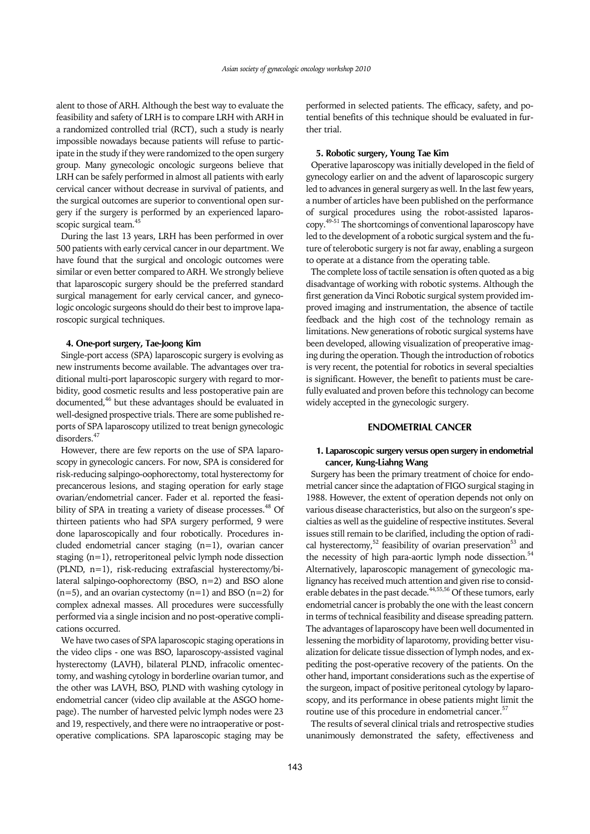alent to those of ARH. Although the best way to evaluate the feasibility and safety of LRH is to compare LRH with ARH in a randomized controlled trial (RCT), such a study is nearly impossible nowadays because patients will refuse to participate in the study if they were randomized to the open surgery group. Many gynecologic oncologic surgeons believe that LRH can be safely performed in almost all patients with early cervical cancer without decrease in survival of patients, and the surgical outcomes are superior to conventional open surgery if the surgery is performed by an experienced laparoscopic surgical team.<sup>45</sup>

During the last 13 years, LRH has been performed in over 500 patients with early cervical cancer in our department. We have found that the surgical and oncologic outcomes were similar or even better compared to ARH. We strongly believe that laparoscopic surgery should be the preferred standard surgical management for early cervical cancer, and gynecologic oncologic surgeons should do their best to improve laparoscopic surgical techniques.

## **4. One-port surgery, Tae-Joong Kim**

Single-port access (SPA) laparoscopic surgery is evolving as new instruments become available. The advantages over traditional multi-port laparoscopic surgery with regard to morbidity, good cosmetic results and less postoperative pain are documented,46 but these advantages should be evaluated in well-designed prospective trials. There are some published reports of SPA laparoscopy utilized to treat benign gynecologic disorders.<sup>47</sup>

However, there are few reports on the use of SPA laparoscopy in gynecologic cancers. For now, SPA is considered for risk-reducing salpingo-oophorectomy, total hysterectomy for precancerous lesions, and staging operation for early stage ovarian/endometrial cancer. Fader et al. reported the feasibility of SPA in treating a variety of disease processes.<sup>48</sup> Of thirteen patients who had SPA surgery performed, 9 were done laparoscopically and four robotically. Procedures included endometrial cancer staging (n=1), ovarian cancer staging (n=1), retroperitoneal pelvic lymph node dissection (PLND, n=1), risk-reducing extrafascial hysterectomy/bilateral salpingo-oophorectomy (BSO, n=2) and BSO alone  $(n=5)$ , and an ovarian cystectomy  $(n=1)$  and BSO  $(n=2)$  for complex adnexal masses. All procedures were successfully performed via a single incision and no post-operative complications occurred.

We have two cases of SPA laparoscopic staging operations in the video clips - one was BSO, laparoscopy-assisted vaginal hysterectomy (LAVH), bilateral PLND, infracolic omentectomy, and washing cytology in borderline ovarian tumor, and the other was LAVH, BSO, PLND with washing cytology in endometrial cancer (video clip available at the ASGO homepage). The number of harvested pelvic lymph nodes were 23 and 19, respectively, and there were no intraoperative or postoperative complications. SPA laparoscopic staging may be

performed in selected patients. The efficacy, safety, and potential benefits of this technique should be evaluated in further trial.

#### **5. Robotic surgery, Young Tae Kim**

Operative laparoscopy was initially developed in the field of gynecology earlier on and the advent of laparoscopic surgery led to advances in general surgery as well. In the last few years, a number of articles have been published on the performance of surgical procedures using the robot-assisted laparoscopy.49-51 The shortcomings of conventional laparoscopy have led to the development of a robotic surgical system and the future of telerobotic surgery is not far away, enabling a surgeon to operate at a distance from the operating table.

The complete loss of tactile sensation is often quoted as a big disadvantage of working with robotic systems. Although the first generation da Vinci Robotic surgical system provided improved imaging and instrumentation, the absence of tactile feedback and the high cost of the technology remain as limitations. New generations of robotic surgical systems have been developed, allowing visualization of preoperative imaging during the operation. Though the introduction of robotics is very recent, the potential for robotics in several specialties is significant. However, the benefit to patients must be carefully evaluated and proven before this technology can become widely accepted in the gynecologic surgery.

# **ENDOMETRIAL CANCER**

# **1. Laparoscopic surgery versus open surgery in endometrial cancer, Kung-Liahng Wang**

Surgery has been the primary treatment of choice for endometrial cancer since the adaptation of FIGO surgical staging in 1988. However, the extent of operation depends not only on various disease characteristics, but also on the surgeon's specialties as well as the guideline of respective institutes. Several issues still remain to be clarified, including the option of radical hysterectomy, $52$  feasibility of ovarian preservation<sup>53</sup> and the necessity of high para-aortic lymph node dissection. $54$ Alternatively, laparoscopic management of gynecologic malignancy has received much attention and given rise to considerable debates in the past decade.<sup>44,55,56</sup> Of these tumors, early endometrial cancer is probably the one with the least concern in terms of technical feasibility and disease spreading pattern. The advantages of laparoscopy have been well documented in lessening the morbidity of laparotomy, providing better visualization for delicate tissue dissection of lymph nodes, and expediting the post-operative recovery of the patients. On the other hand, important considerations such as the expertise of the surgeon, impact of positive peritoneal cytology by laparoscopy, and its performance in obese patients might limit the routine use of this procedure in endometrial cancer.<sup>57</sup>

The results of several clinical trials and retrospective studies unanimously demonstrated the safety, effectiveness and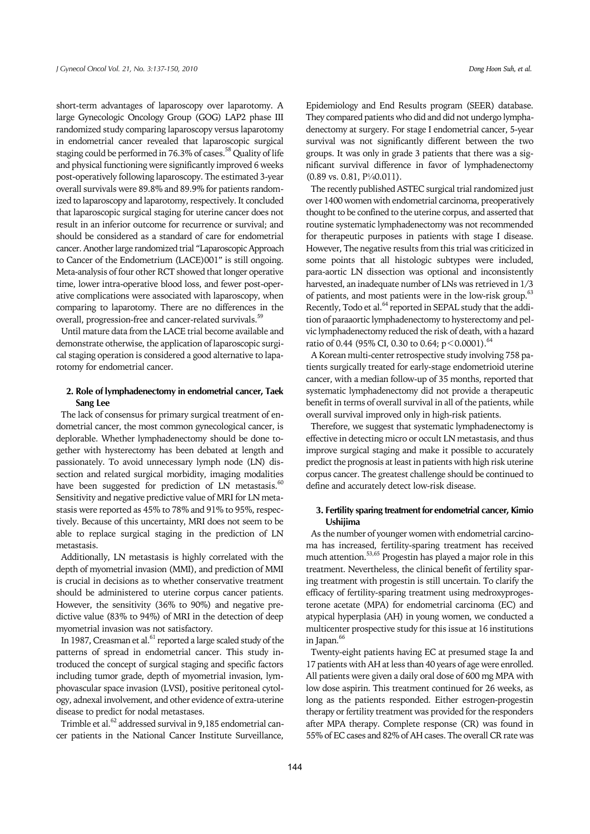short-term advantages of laparoscopy over laparotomy. A large Gynecologic Oncology Group (GOG) LAP2 phase III randomized study comparing laparoscopy versus laparotomy in endometrial cancer revealed that laparoscopic surgical staging could be performed in 76.3% of cases.<sup>58</sup> Quality of life and physical functioning were significantly improved 6 weeks post-operatively following laparoscopy. The estimated 3-year overall survivals were 89.8% and 89.9% for patients randomized to laparoscopy and laparotomy, respectively. It concluded that laparoscopic surgical staging for uterine cancer does not result in an inferior outcome for recurrence or survival; and should be considered as a standard of care for endometrial cancer. Another large randomized trial "Laparoscopic Approach to Cancer of the Endometrium (LACE)001" is still ongoing. Meta-analysis of four other RCT showed that longer operative time, lower intra-operative blood loss, and fewer post-operative complications were associated with laparoscopy, when comparing to laparotomy. There are no differences in the overall, progression-free and cancer-related survivals.<sup>59</sup>

Until mature data from the LACE trial become available and demonstrate otherwise, the application of laparoscopic surgical staging operation is considered a good alternative to laparotomy for endometrial cancer.

## **2. Role of lymphadenectomy in endometrial cancer, Taek Sang Lee**

The lack of consensus for primary surgical treatment of endometrial cancer, the most common gynecological cancer, is deplorable. Whether lymphadenectomy should be done together with hysterectomy has been debated at length and passionately. To avoid unnecessary lymph node (LN) dissection and related surgical morbidity, imaging modalities have been suggested for prediction of LN metastasis. $60$ Sensitivity and negative predictive value of MRI for LN metastasis were reported as 45% to 78% and 91% to 95%, respectively. Because of this uncertainty, MRI does not seem to be able to replace surgical staging in the prediction of LN metastasis.

Additionally, LN metastasis is highly correlated with the depth of myometrial invasion (MMI), and prediction of MMI is crucial in decisions as to whether conservative treatment should be administered to uterine corpus cancer patients. However, the sensitivity (36% to 90%) and negative predictive value (83% to 94%) of MRI in the detection of deep myometrial invasion was not satisfactory.

In 1987, Creasman et al.<sup>61</sup> reported a large scaled study of the patterns of spread in endometrial cancer. This study introduced the concept of surgical staging and specific factors including tumor grade, depth of myometrial invasion, lymphovascular space invasion (LVSI), positive peritoneal cytology, adnexal involvement, and other evidence of extra-uterine disease to predict for nodal metastases.

Trimble et al. $62$  addressed survival in 9,185 endometrial cancer patients in the National Cancer Institute Surveillance,

Epidemiology and End Results program (SEER) database. They compared patients who did and did not undergo lymphadenectomy at surgery. For stage I endometrial cancer, 5-year survival was not significantly different between the two groups. It was only in grade 3 patients that there was a significant survival difference in favor of lymphadenectomy (0.89 vs. 0.81, P1/40.011).

The recently published ASTEC surgical trial randomized just over 1400 women with endometrial carcinoma, preoperatively thought to be confined to the uterine corpus, and asserted that routine systematic lymphadenectomy was not recommended for therapeutic purposes in patients with stage I disease. However, The negative results from this trial was criticized in some points that all histologic subtypes were included, para-aortic LN dissection was optional and inconsistently harvested, an inadequate number of LNs was retrieved in 1/3 of patients, and most patients were in the low-risk group.<sup>63</sup> Recently, Todo et al.<sup>64</sup> reported in SEPAL study that the addition of paraaortic lymphadenectomy to hysterectomy and pelvic lymphadenectomy reduced the risk of death, with a hazard ratio of 0.44 (95% CI, 0.30 to 0.64;  $p < 0.0001$ ).<sup>64</sup>

A Korean multi-center retrospective study involving 758 patients surgically treated for early-stage endometrioid uterine cancer, with a median follow-up of 35 months, reported that systematic lymphadenectomy did not provide a therapeutic benefit in terms of overall survival in all of the patients, while overall survival improved only in high-risk patients.

Therefore, we suggest that systematic lymphadenectomy is effective in detecting micro or occult LN metastasis, and thus improve surgical staging and make it possible to accurately predict the prognosis at least in patients with high risk uterine corpus cancer. The greatest challenge should be continued to define and accurately detect low-risk disease.

# **3. Fertility sparing treatment for endometrial cancer, Kimio Ushijima**

As the number of younger women with endometrial carcinoma has increased, fertility-sparing treatment has received much attention.<sup>53,65</sup> Progestin has played a major role in this treatment. Nevertheless, the clinical benefit of fertility sparing treatment with progestin is still uncertain. To clarify the efficacy of fertility-sparing treatment using medroxyprogesterone acetate (MPA) for endometrial carcinoma (EC) and atypical hyperplasia (AH) in young women, we conducted a multicenter prospective study for this issue at 16 institutions in Japan.<sup>66</sup>

Twenty-eight patients having EC at presumed stage Ia and 17 patients with AH at less than 40 years of age were enrolled. All patients were given a daily oral dose of 600 mg MPA with low dose aspirin. This treatment continued for 26 weeks, as long as the patients responded. Either estrogen-progestin therapy or fertility treatment was provided for the responders after MPA therapy. Complete response (CR) was found in 55% of EC cases and 82% of AH cases. The overall CR rate was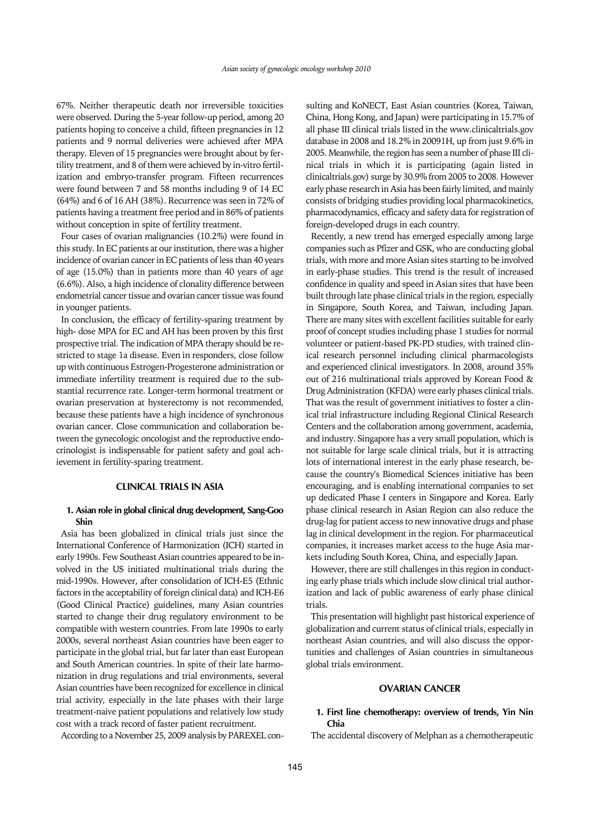67%. Neither therapeutic death nor irreversible toxicities were observed. During the 5-year follow-up period, among 20 patients hoping to conceive a child, fifteen pregnancies in 12 patients and 9 normal deliveries were achieved after MPA therapy. Eleven of 15 pregnancies were brought about by fertility treatment, and 8 of them were achieved by in-vitro fertilization and embryo-transfer program. Fifteen recurrences were found between 7 and 58 months including 9 of 14 EC (64%) and 6 of 16 AH (38%). Recurrence was seen in 72% of patients having a treatment free period and in 86% of patients without conception in spite of fertility treatment.

Four cases of ovarian malignancies (10.2%) were found in this study. In EC patients at our institution, there was a higher incidence of ovarian cancer in EC patients of less than 40 years of age (15.0%) than in patients more than 40 years of age (6.6%). Also, a high incidence of clonality difference between endometrial cancer tissue and ovarian cancer tissue was found in younger patients.

In conclusion, the efficacy of fertility-sparing treatment by high- dose MPA for EC and AH has been proven by this first prospective trial. The indication of MPA therapy should be restricted to stage 1a disease. Even in responders, close follow up with continuous Estrogen-Progesterone administration or immediate infertility treatment is required due to the substantial recurrence rate. Longer-term hormonal treatment or ovarian preservation at hysterectomy is not recommended, because these patients have a high incidence of synchronous ovarian cancer. Close communication and collaboration between the gynecologic oncologist and the reproductive endocrinologist is indispensable for patient safety and goal achievement in fertility-sparing treatment.

## **CLINICAL TRIALS IN ASIA**

## **1. Asian role in global clinical drug development, Sang-Goo Shin**

Asia has been globalized in clinical trials just since the International Conference of Harmonization (ICH) started in early 1990s. Few Southeast Asian countries appeared to be involved in the US initiated multinational trials during the mid-1990s. However, after consolidation of ICH-E5 (Ethnic factors in the acceptability of foreign clinical data) and ICH-E6 (Good Clinical Practice) guidelines, many Asian countries started to change their drug regulatory environment to be compatible with western countries. From late 1990s to early 2000s, several northeast Asian countries have been eager to participate in the global trial, but far later than east European and South American countries. In spite of their late harmonization in drug regulations and trial environments, several Asian countries have been recognized for excellence in clinical trial activity, especially in the late phases with their large treatment-naive patient populations and relatively low study cost with a track record of faster patient recruitment.

According to a November 25, 2009 analysis by PAREXEL con-

sulting and KoNECT, East Asian countries (Korea, Taiwan, China, Hong Kong, and Japan) were participating in 15.7% of all phase III clinical trials listed in the www.clinicaltrials.gov database in 2008 and 18.2% in 20091H, up from just 9.6% in 2005. Meanwhile, the region has seen a number of phase III clinical trials in which it is participating (again listed in clinicaltrials.gov) surge by 30.9% from 2005 to 2008. However early phase research in Asia has been fairly limited, and mainly consists of bridging studies providing local pharmacokinetics, pharmacodynamics, efficacy and safety data for registration of foreign-developed drugs in each country.

Recently, a new trend has emerged especially among large companies such as Pfizer and GSK, who are conducting global trials, with more and more Asian sites starting to be involved in early-phase studies. This trend is the result of increased confidence in quality and speed in Asian sites that have been built through late phase clinical trials in the region, especially in Singapore, South Korea, and Taiwan, including Japan. There are many sites with excellent facilities suitable for early proof of concept studies including phase 1 studies for normal volunteer or patient-based PK-PD studies, with trained clinical research personnel including clinical pharmacologists and experienced clinical investigators. In 2008, around 35% out of 216 multinational trials approved by Korean Food & Drug Administration (KFDA) were early phases clinical trials. That was the result of government initiatives to foster a clinical trial infrastructure including Regional Clinical Research Centers and the collaboration among government, academia, and industry. Singapore has a very small population, which is not suitable for large scale clinical trials, but it is attracting lots of international interest in the early phase research, because the country's Biomedical Sciences initiative has been encouraging, and is enabling international companies to set up dedicated Phase I centers in Singapore and Korea. Early phase clinical research in Asian Region can also reduce the drug-lag for patient access to new innovative drugs and phase lag in clinical development in the region. For pharmaceutical companies, it increases market access to the huge Asia markets including South Korea, China, and especially Japan.

However, there are still challenges in this region in conducting early phase trials which include slow clinical trial authorization and lack of public awareness of early phase clinical trials.

This presentation will highlight past historical experience of globalization and current status of clinical trials, especially in northeast Asian countries, and will also discuss the opportunities and challenges of Asian countries in simultaneous global trials environment.

## **OVARIAN CANCER**

## **1. First line chemotherapy: overview of trends, Yin Nin Chia**

The accidental discovery of Melphan as a chemotherapeutic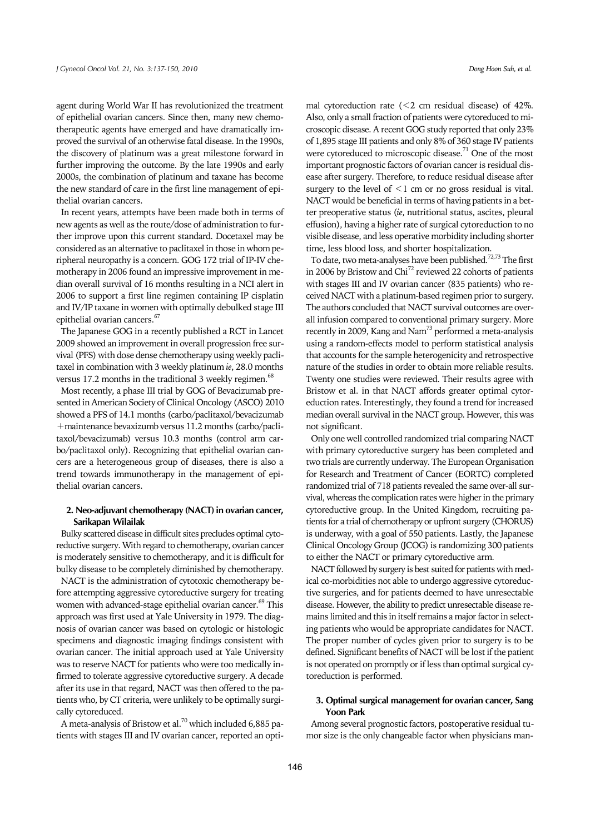agent during World War II has revolutionized the treatment of epithelial ovarian cancers. Since then, many new chemotherapeutic agents have emerged and have dramatically improved the survival of an otherwise fatal disease. In the 1990s, the discovery of platinum was a great milestone forward in further improving the outcome. By the late 1990s and early 2000s, the combination of platinum and taxane has become the new standard of care in the first line management of epithelial ovarian cancers.

In recent years, attempts have been made both in terms of new agents as well as the route/dose of administration to further improve upon this current standard. Docetaxel may be considered as an alternative to paclitaxel in those in whom peripheral neuropathy is a concern. GOG 172 trial of IP-IV chemotherapy in 2006 found an impressive improvement in median overall survival of 16 months resulting in a NCI alert in 2006 to support a first line regimen containing IP cisplatin and IV/IP taxane in women with optimally debulked stage III epithelial ovarian cancers.<sup>67</sup>

The Japanese GOG in a recently published a RCT in Lancet 2009 showed an improvement in overall progression free survival (PFS) with dose dense chemotherapy using weekly paclitaxel in combination with 3 weekly platinum *ie*, 28.0 months versus 17.2 months in the traditional 3 weekly regimen.<sup>68</sup>

Most recently, a phase III trial by GOG of Bevacizumab presented in American Society of Clinical Oncology (ASCO) 2010 showed a PFS of 14.1 months (carbo/paclitaxol/bevacizumab +maintenance bevaxizumb versus 11.2 months (carbo/paclitaxol/bevacizumab) versus 10.3 months (control arm carbo/paclitaxol only). Recognizing that epithelial ovarian cancers are a heterogeneous group of diseases, there is also a trend towards immunotherapy in the management of epithelial ovarian cancers.

## **2. Neo-adjuvant chemotherapy (NACT) in ovarian cancer, Sarikapan Wilailak**

Bulky scattered disease in difficult sites precludes optimal cytoreductive surgery. With regard to chemotherapy, ovarian cancer is moderately sensitive to chemotherapy, and it is difficult for bulky disease to be completely diminished by chemotherapy.

NACT is the administration of cytotoxic chemotherapy before attempting aggressive cytoreductive surgery for treating women with advanced-stage epithelial ovarian cancer.<sup>69</sup> This approach was first used at Yale University in 1979. The diagnosis of ovarian cancer was based on cytologic or histologic specimens and diagnostic imaging findings consistent with ovarian cancer. The initial approach used at Yale University was to reserve NACT for patients who were too medically infirmed to tolerate aggressive cytoreductive surgery. A decade after its use in that regard, NACT was then offered to the patients who, by CT criteria, were unlikely to be optimally surgically cytoreduced.

A meta-analysis of Bristow et al.<sup>70</sup> which included 6,885 patients with stages III and IV ovarian cancer, reported an optimal cytoreduction rate  $(< 2$  cm residual disease) of 42%. Also, only a small fraction of patients were cytoreduced to microscopic disease. A recent GOG study reported that only 23% of 1,895 stage III patients and only 8% of 360 stage IV patients were cytoreduced to microscopic disease.<sup>71</sup> One of the most important prognostic factors of ovarian cancer is residual disease after surgery. Therefore, to reduce residual disease after surgery to the level of  $\leq 1$  cm or no gross residual is vital. NACT would be beneficial in terms of having patients in a better preoperative status (*ie*, nutritional status, ascites, pleural effusion), having a higher rate of surgical cytoreduction to no visible disease, and less operative morbidity including shorter time, less blood loss, and shorter hospitalization.

To date, two meta-analyses have been published.<sup>72,73</sup> The first in 2006 by Bristow and Chi<sup>72</sup> reviewed 22 cohorts of patients with stages III and IV ovarian cancer (835 patients) who received NACT with a platinum-based regimen prior to surgery. The authors concluded that NACT survival outcomes are overall infusion compared to conventional primary surgery. More recently in 2009, Kang and Nam<sup>73</sup> performed a meta-analysis using a random-effects model to perform statistical analysis that accounts for the sample heterogenicity and retrospective nature of the studies in order to obtain more reliable results. Twenty one studies were reviewed. Their results agree with Bristow et al. in that NACT affords greater optimal cytoreduction rates. Interestingly, they found a trend for increased median overall survival in the NACT group. However, this was not significant.

Only one well controlled randomized trial comparing NACT with primary cytoreductive surgery has been completed and two trials are currently underway. The European Organisation for Research and Treatment of Cancer (EORTC) completed randomized trial of 718 patients revealed the same over-all survival, whereas the complication rates were higher in the primary cytoreductive group. In the United Kingdom, recruiting patients for a trial of chemotherapy or upfront surgery (CHORUS) is underway, with a goal of 550 patients. Lastly, the Japanese Clinical Oncology Group (JCOG) is randomizing 300 patients to either the NACT or primary cytoreductive arm.

NACT followed by surgery is best suited for patients with medical co-morbidities not able to undergo aggressive cytoreductive surgeries, and for patients deemed to have unresectable disease. However, the ability to predict unresectable disease remains limited and this in itself remains a major factor in selecting patients who would be appropriate candidates for NACT. The proper number of cycles given prior to surgery is to be defined. Significant benefits of NACT will be lost if the patient is not operated on promptly or if less than optimal surgical cytoreduction is performed.

## **3. Optimal surgical management for ovarian cancer, Sang Yoon Park**

Among several prognostic factors, postoperative residual tumor size is the only changeable factor when physicians man-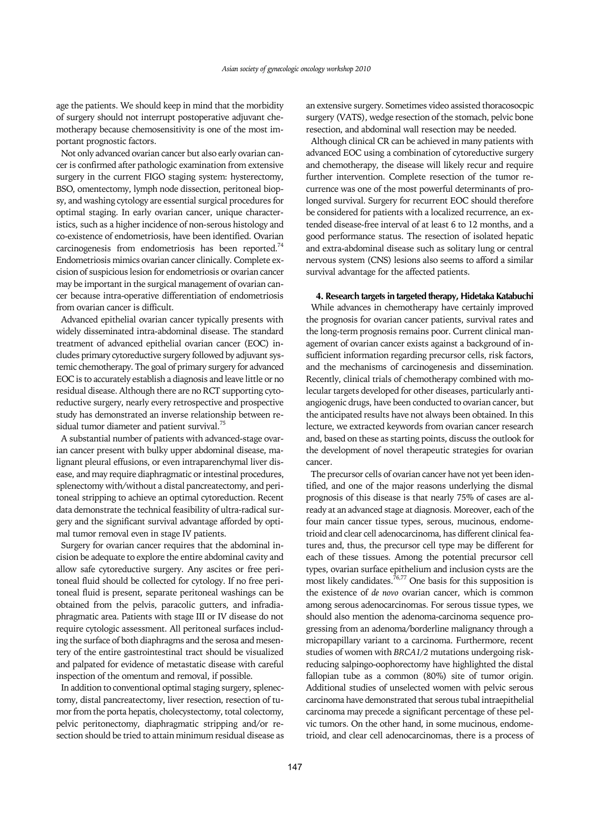age the patients. We should keep in mind that the morbidity of surgery should not interrupt postoperative adjuvant chemotherapy because chemosensitivity is one of the most important prognostic factors.

Not only advanced ovarian cancer but also early ovarian cancer is confirmed after pathologic examination from extensive surgery in the current FIGO staging system: hysterectomy, BSO, omentectomy, lymph node dissection, peritoneal biopsy, and washing cytology are essential surgical procedures for optimal staging. In early ovarian cancer, unique characteristics, such as a higher incidence of non-serous histology and co-existence of endometriosis, have been identified. Ovarian carcinogenesis from endometriosis has been reported.<sup>74</sup> Endometriosis mimics ovarian cancer clinically. Complete excision of suspicious lesion for endometriosis or ovarian cancer may be important in the surgical management of ovarian cancer because intra-operative differentiation of endometriosis from ovarian cancer is difficult.

Advanced epithelial ovarian cancer typically presents with widely disseminated intra-abdominal disease. The standard treatment of advanced epithelial ovarian cancer (EOC) includes primary cytoreductive surgery followed by adjuvant systemic chemotherapy. The goal of primary surgery for advanced EOC is to accurately establish a diagnosis and leave little or no residual disease. Although there are no RCT supporting cytoreductive surgery, nearly every retrospective and prospective study has demonstrated an inverse relationship between residual tumor diameter and patient survival.<sup>75</sup>

A substantial number of patients with advanced-stage ovarian cancer present with bulky upper abdominal disease, malignant pleural effusions, or even intraparenchymal liver disease, and may require diaphragmatic or intestinal procedures, splenectomy with/without a distal pancreatectomy, and peritoneal stripping to achieve an optimal cytoreduction. Recent data demonstrate the technical feasibility of ultra-radical surgery and the significant survival advantage afforded by optimal tumor removal even in stage IV patients.

Surgery for ovarian cancer requires that the abdominal incision be adequate to explore the entire abdominal cavity and allow safe cytoreductive surgery. Any ascites or free peritoneal fluid should be collected for cytology. If no free peritoneal fluid is present, separate peritoneal washings can be obtained from the pelvis, paracolic gutters, and infradiaphragmatic area. Patients with stage III or IV disease do not require cytologic assessment. All peritoneal surfaces including the surface of both diaphragms and the serosa and mesentery of the entire gastrointestinal tract should be visualized and palpated for evidence of metastatic disease with careful inspection of the omentum and removal, if possible.

In addition to conventional optimal staging surgery, splenectomy, distal pancreatectomy, liver resection, resection of tumor from the porta hepatis, cholecystectomy, total colectomy, pelvic peritonectomy, diaphragmatic stripping and/or resection should be tried to attain minimum residual disease as an extensive surgery. Sometimes video assisted thoracosocpic surgery (VATS), wedge resection of the stomach, pelvic bone resection, and abdominal wall resection may be needed.

Although clinical CR can be achieved in many patients with advanced EOC using a combination of cytoreductive surgery and chemotherapy, the disease will likely recur and require further intervention. Complete resection of the tumor recurrence was one of the most powerful determinants of prolonged survival. Surgery for recurrent EOC should therefore be considered for patients with a localized recurrence, an extended disease-free interval of at least 6 to 12 months, and a good performance status. The resection of isolated hepatic and extra-abdominal disease such as solitary lung or central nervous system (CNS) lesions also seems to afford a similar survival advantage for the affected patients.

**4. Research targets in targeted therapy, Hidetaka Katabuchi** While advances in chemotherapy have certainly improved the prognosis for ovarian cancer patients, survival rates and the long-term prognosis remains poor. Current clinical management of ovarian cancer exists against a background of insufficient information regarding precursor cells, risk factors, and the mechanisms of carcinogenesis and dissemination. Recently, clinical trials of chemotherapy combined with molecular targets developed for other diseases, particularly antiangiogenic drugs, have been conducted to ovarian cancer, but the anticipated results have not always been obtained. In this lecture, we extracted keywords from ovarian cancer research and, based on these as starting points, discuss the outlook for the development of novel therapeutic strategies for ovarian cancer.

The precursor cells of ovarian cancer have not yet been identified, and one of the major reasons underlying the dismal prognosis of this disease is that nearly 75% of cases are already at an advanced stage at diagnosis. Moreover, each of the four main cancer tissue types, serous, mucinous, endometrioid and clear cell adenocarcinoma, has different clinical features and, thus, the precursor cell type may be different for each of these tissues. Among the potential precursor cell types, ovarian surface epithelium and inclusion cysts are the most likely candidates.<sup>76,77</sup> One basis for this supposition is the existence of *de novo* ovarian cancer, which is common among serous adenocarcinomas. For serous tissue types, we should also mention the adenoma-carcinoma sequence progressing from an adenoma/borderline malignancy through a micropapillary variant to a carcinoma. Furthermore, recent studies of women with *BRCA1/2* mutations undergoing riskreducing salpingo-oophorectomy have highlighted the distal fallopian tube as a common (80%) site of tumor origin. Additional studies of unselected women with pelvic serous carcinoma have demonstrated that serous tubal intraepithelial carcinoma may precede a significant percentage of these pelvic tumors. On the other hand, in some mucinous, endometrioid, and clear cell adenocarcinomas, there is a process of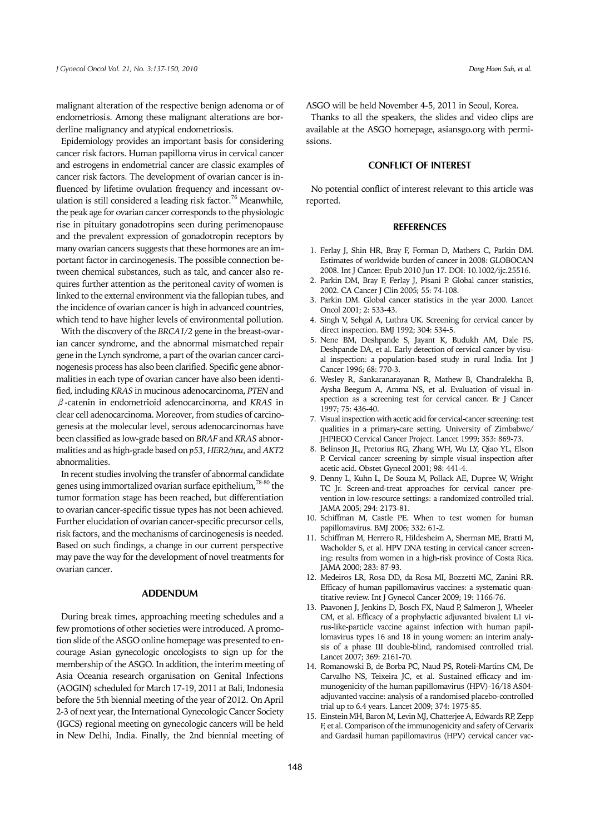malignant alteration of the respective benign adenoma or of endometriosis. Among these malignant alterations are borderline malignancy and atypical endometriosis.

Epidemiology provides an important basis for considering cancer risk factors. Human papilloma virus in cervical cancer and estrogens in endometrial cancer are classic examples of cancer risk factors. The development of ovarian cancer is influenced by lifetime ovulation frequency and incessant ovulation is still considered a leading risk factor.<sup>76</sup> Meanwhile, the peak age for ovarian cancer corresponds to the physiologic rise in pituitary gonadotropins seen during perimenopause and the prevalent expression of gonadotropin receptors by many ovarian cancers suggests that these hormones are an important factor in carcinogenesis. The possible connection between chemical substances, such as talc, and cancer also requires further attention as the peritoneal cavity of women is linked to the external environment via the fallopian tubes, and the incidence of ovarian cancer is high in advanced countries, which tend to have higher levels of environmental pollution.

With the discovery of the *BRCA1/2* gene in the breast-ovarian cancer syndrome, and the abnormal mismatched repair gene in the Lynch syndrome, a part of the ovarian cancer carcinogenesis process has also been clarified. Specific gene abnormalities in each type of ovarian cancer have also been identified, including *KRAS* in mucinous adenocarcinoma, *PTEN* and β-catenin in endometrioid adenocarcinoma, and *KRAS* in clear cell adenocarcinoma. Moreover, from studies of carcinogenesis at the molecular level, serous adenocarcinomas have been classified as low-grade based on *BRAF* and *KRAS* abnormalities and as high-grade based on *p53*, *HER2/neu*, and *AKT2* abnormalities.

In recent studies involving the transfer of abnormal candidate genes using immortalized ovarian surface epithelium,<sup>78-80</sup> the tumor formation stage has been reached, but differentiation to ovarian cancer-specific tissue types has not been achieved. Further elucidation of ovarian cancer-specific precursor cells, risk factors, and the mechanisms of carcinogenesis is needed. Based on such findings, a change in our current perspective may pave the way for the development of novel treatments for ovarian cancer.

## **ADDENDUM**

During break times, approaching meeting schedules and a few promotions of other societies were introduced. A promotion slide of the ASGO online homepage was presented to encourage Asian gynecologic oncologists to sign up for the membership of the ASGO. In addition, the interim meeting of Asia Oceania research organisation on Genital Infections (AOGIN) scheduled for March 17-19, 2011 at Bali, Indonesia before the 5th biennial meeting of the year of 2012. On April 2-3 of next year, the International Gynecologic Cancer Society (IGCS) regional meeting on gynecologic cancers will be held in New Delhi, India. Finally, the 2nd biennial meeting of ASGO will be held November 4-5, 2011 in Seoul, Korea.

Thanks to all the speakers, the slides and video clips are available at the ASGO homepage, asiansgo.org with permissions.

#### **CONFLICT OF INTEREST**

No potential conflict of interest relevant to this article was reported.

## **REFERENCES**

- 1. Ferlay J, Shin HR, Bray F, Forman D, Mathers C, Parkin DM. Estimates of worldwide burden of cancer in 2008: GLOBOCAN 2008. Int J Cancer. Epub 2010 Jun 17. DOI: 10.1002/ijc.25516.
- 2. Parkin DM, Bray F, Ferlay J, Pisani P. Global cancer statistics, 2002. CA Cancer J Clin 2005; 55: 74-108.
- 3. Parkin DM. Global cancer statistics in the year 2000. Lancet Oncol 2001; 2: 533-43.
- 4. Singh V, Sehgal A, Luthra UK. Screening for cervical cancer by direct inspection. BMJ 1992; 304: 534-5.
- 5. Nene BM, Deshpande S, Jayant K, Budukh AM, Dale PS, Deshpande DA, et al. Early detection of cervical cancer by visual inspection: a population-based study in rural India. Int J Cancer 1996; 68: 770-3.
- 6. Wesley R, Sankaranarayanan R, Mathew B, Chandralekha B, Aysha Beegum A, Amma NS, et al. Evaluation of visual inspection as a screening test for cervical cancer. Br J Cancer 1997; 75: 436-40.
- 7. Visual inspection with acetic acid for cervical-cancer screening: test qualities in a primary-care setting. University of Zimbabwe/ JHPIEGO Cervical Cancer Project. Lancet 1999; 353: 869-73.
- 8. Belinson JL, Pretorius RG, Zhang WH, Wu LY, Qiao YL, Elson P. Cervical cancer screening by simple visual inspection after acetic acid. Obstet Gynecol 2001; 98: 441-4.
- 9. Denny L, Kuhn L, De Souza M, Pollack AE, Dupree W, Wright TC Jr. Screen-and-treat approaches for cervical cancer prevention in low-resource settings: a randomized controlled trial. JAMA 2005; 294: 2173-81.
- 10. Schiffman M, Castle PE. When to test women for human papillomavirus. BMJ 2006; 332: 61-2.
- 11. Schiffman M, Herrero R, Hildesheim A, Sherman ME, Bratti M, Wacholder S, et al. HPV DNA testing in cervical cancer screening: results from women in a high-risk province of Costa Rica. JAMA 2000; 283: 87-93.
- 12. Medeiros LR, Rosa DD, da Rosa MI, Bozzetti MC, Zanini RR. Efficacy of human papillomavirus vaccines: a systematic quantitative review. Int J Gynecol Cancer 2009; 19: 1166-76.
- 13. Paavonen J, Jenkins D, Bosch FX, Naud P, Salmeron J, Wheeler CM, et al. Efficacy of a prophylactic adjuvanted bivalent L1 virus-like-particle vaccine against infection with human papillomavirus types 16 and 18 in young women: an interim analysis of a phase III double-blind, randomised controlled trial. Lancet 2007; 369: 2161-70.
- 14. Romanowski B, de Borba PC, Naud PS, Roteli-Martins CM, De Carvalho NS, Teixeira JC, et al. Sustained efficacy and immunogenicity of the human papillomavirus (HPV)-16/18 AS04 adjuvanted vaccine: analysis of a randomised placebo-controlled trial up to 6.4 years. Lancet 2009; 374: 1975-85.
- 15. Einstein MH, Baron M, Levin MJ, Chatterjee A, Edwards RP, Zepp F, et al. Comparison of the immunogenicity and safety of Cervarix and Gardasil human papillomavirus (HPV) cervical cancer vac-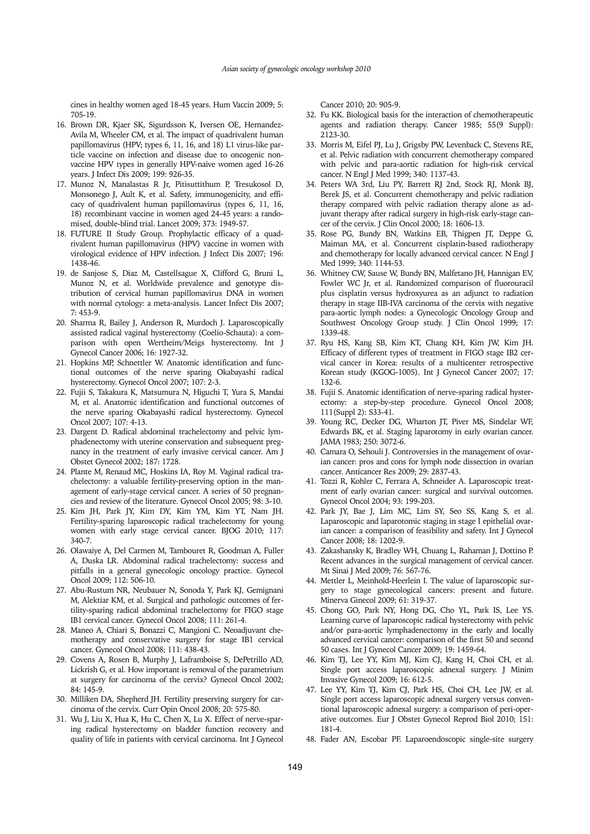cines in healthy women aged 18-45 years. Hum Vaccin 2009; 5: 705-19.

- 16. Brown DR, Kjaer SK, Sigurdsson K, Iversen OE, Hernandez-Avila M, Wheeler CM, et al. The impact of quadrivalent human papillomavirus (HPV; types 6, 11, 16, and 18) L1 virus-like particle vaccine on infection and disease due to oncogenic nonvaccine HPV types in generally HPV-naive women aged 16-26 years. J Infect Dis 2009; 199: 926-35.
- 17. Munoz N, Manalastas R Jr, Pitisuttithum P, Tresukosol D, Monsonego J, Ault K, et al. Safety, immunogenicity, and efficacy of quadrivalent human papillomavirus (types 6, 11, 16, 18) recombinant vaccine in women aged 24-45 years: a randomised, double-blind trial. Lancet 2009; 373: 1949-57.
- 18. FUTURE II Study Group. Prophylactic efficacy of a quadrivalent human papillomavirus (HPV) vaccine in women with virological evidence of HPV infection. J Infect Dis 2007; 196: 1438-46.
- 19. de Sanjose S, Diaz M, Castellsague X, Clifford G, Bruni L, Munoz N, et al. Worldwide prevalence and genotype distribution of cervical human papillomavirus DNA in women with normal cytology: a meta-analysis. Lancet Infect Dis 2007; 7: 453-9.
- 20. Sharma R, Bailey J, Anderson R, Murdoch J. Laparoscopically assisted radical vaginal hysterectomy (Coelio-Schauta): a comparison with open Wertheim/Meigs hysterectomy. Int J Gynecol Cancer 2006; 16: 1927-32.
- 21. Hopkins MP, Schnettler W. Anatomic identification and functional outcomes of the nerve sparing Okabayashi radical hysterectomy. Gynecol Oncol 2007; 107: 2-3.
- 22. Fujii S, Takakura K, Matsumura N, Higuchi T, Yura S, Mandai M, et al. Anatomic identification and functional outcomes of the nerve sparing Okabayashi radical hysterectomy. Gynecol Oncol 2007; 107: 4-13.
- 23. Dargent D. Radical abdominal trachelectomy and pelvic lymphadenectomy with uterine conservation and subsequent pregnancy in the treatment of early invasive cervical cancer. Am J Obstet Gynecol 2002; 187: 1728.
- 24. Plante M, Renaud MC, Hoskins IA, Roy M. Vaginal radical trachelectomy: a valuable fertility-preserving option in the management of early-stage cervical cancer. A series of 50 pregnancies and review of the literature. Gynecol Oncol 2005; 98: 3-10.
- 25. Kim JH, Park JY, Kim DY, Kim YM, Kim YT, Nam JH. Fertility-sparing laparoscopic radical trachelectomy for young women with early stage cervical cancer. BJOG 2010; 117: 340-7.
- 26. Olawaiye A, Del Carmen M, Tambouret R, Goodman A, Fuller A, Duska LR. Abdominal radical trachelectomy: success and pitfalls in a general gynecologic oncology practice. Gynecol Oncol 2009; 112: 506-10.
- 27. Abu-Rustum NR, Neubauer N, Sonoda Y, Park KJ, Gemignani M, Alektiar KM, et al. Surgical and pathologic outcomes of fertility-sparing radical abdominal trachelectomy for FIGO stage IB1 cervical cancer. Gynecol Oncol 2008; 111: 261-4.
- 28. Maneo A, Chiari S, Bonazzi C, Mangioni C. Neoadjuvant chemotherapy and conservative surgery for stage IB1 cervical cancer. Gynecol Oncol 2008; 111: 438-43.
- 29. Covens A, Rosen B, Murphy J, Laframboise S, DePetrillo AD, Lickrish G, et al. How important is removal of the parametrium at surgery for carcinoma of the cervix? Gynecol Oncol 2002; 84: 145-9.
- 30. Milliken DA, Shepherd JH. Fertility preserving surgery for carcinoma of the cervix. Curr Opin Oncol 2008; 20: 575-80.
- 31. Wu J, Liu X, Hua K, Hu C, Chen X, Lu X. Effect of nerve-sparing radical hysterectomy on bladder function recovery and quality of life in patients with cervical carcinoma. Int J Gynecol

Cancer 2010; 20: 905-9.

- 32. Fu KK. Biological basis for the interaction of chemotherapeutic agents and radiation therapy. Cancer 1985; 55(9 Suppl): 2123-30.
- 33. Morris M, Eifel PJ, Lu J, Grigsby PW, Levenback C, Stevens RE, et al. Pelvic radiation with concurrent chemotherapy compared with pelvic and para-aortic radiation for high-risk cervical cancer. N Engl J Med 1999; 340: 1137-43.
- 34. Peters WA 3rd, Liu PY, Barrett RJ 2nd, Stock RJ, Monk BJ, Berek JS, et al. Concurrent chemotherapy and pelvic radiation therapy compared with pelvic radiation therapy alone as adjuvant therapy after radical surgery in high-risk early-stage cancer of the cervix. J Clin Oncol 2000; 18: 1606-13.
- 35. Rose PG, Bundy BN, Watkins EB, Thigpen JT, Deppe G, Maiman MA, et al. Concurrent cisplatin-based radiotherapy and chemotherapy for locally advanced cervical cancer. N Engl J Med 1999; 340: 1144-53.
- 36. Whitney CW, Sause W, Bundy BN, Malfetano JH, Hannigan EV, Fowler WC Jr, et al. Randomized comparison of fluorouracil plus cisplatin versus hydroxyurea as an adjunct to radiation therapy in stage IIB-IVA carcinoma of the cervix with negative para-aortic lymph nodes: a Gynecologic Oncology Group and Southwest Oncology Group study. J Clin Oncol 1999; 17: 1339-48.
- 37. Ryu HS, Kang SB, Kim KT, Chang KH, Kim JW, Kim JH. Efficacy of different types of treatment in FIGO stage IB2 cervical cancer in Korea: results of a multicenter retrospective Korean study (KGOG-1005). Int J Gynecol Cancer 2007; 17: 132-6.
- 38. Fujii S. Anatomic identification of nerve-sparing radical hysterectomy: a step-by-step procedure. Gynecol Oncol 2008; 111(Suppl 2): S33-41.
- 39. Young RC, Decker DG, Wharton JT, Piver MS, Sindelar WF, Edwards BK, et al. Staging laparotomy in early ovarian cancer. JAMA 1983; 250: 3072-6.
- 40. Camara O, Sehouli J. Controversies in the management of ovarian cancer: pros and cons for lymph node dissection in ovarian cancer. Anticancer Res 2009; 29: 2837-43.
- 41. Tozzi R, Kohler C, Ferrara A, Schneider A. Laparoscopic treatment of early ovarian cancer: surgical and survival outcomes. Gynecol Oncol 2004; 93: 199-203.
- 42. Park JY, Bae J, Lim MC, Lim SY, Seo SS, Kang S, et al. Laparoscopic and laparotomic staging in stage I epithelial ovarian cancer: a comparison of feasibility and safety. Int J Gynecol Cancer 2008; 18: 1202-9.
- 43. Zakashansky K, Bradley WH, Chuang L, Rahaman J, Dottino P. Recent advances in the surgical management of cervical cancer. Mt Sinai J Med 2009: 76: 567-76.
- 44. Mettler L, Meinhold-Heerlein I. The value of laparoscopic surgery to stage gynecological cancers: present and future. Minerva Ginecol 2009; 61: 319-37.
- 45. Chong GO, Park NY, Hong DG, Cho YL, Park IS, Lee YS. Learning curve of laparoscopic radical hysterectomy with pelvic and/or para-aortic lymphadenectomy in the early and locally advanced cervical cancer: comparison of the first 50 and second 50 cases. Int J Gynecol Cancer 2009; 19: 1459-64.
- 46. Kim TJ, Lee YY, Kim MJ, Kim CJ, Kang H, Choi CH, et al. Single port access laparoscopic adnexal surgery. J Minim Invasive Gynecol 2009; 16: 612-5.
- 47. Lee YY, Kim TJ, Kim CJ, Park HS, Choi CH, Lee JW, et al. Single port access laparoscopic adnexal surgery versus conventional laparoscopic adnexal surgery: a comparison of peri-operative outcomes. Eur J Obstet Gynecol Reprod Biol 2010; 151: 181-4.
- 48. Fader AN, Escobar PF. Laparoendoscopic single-site surgery